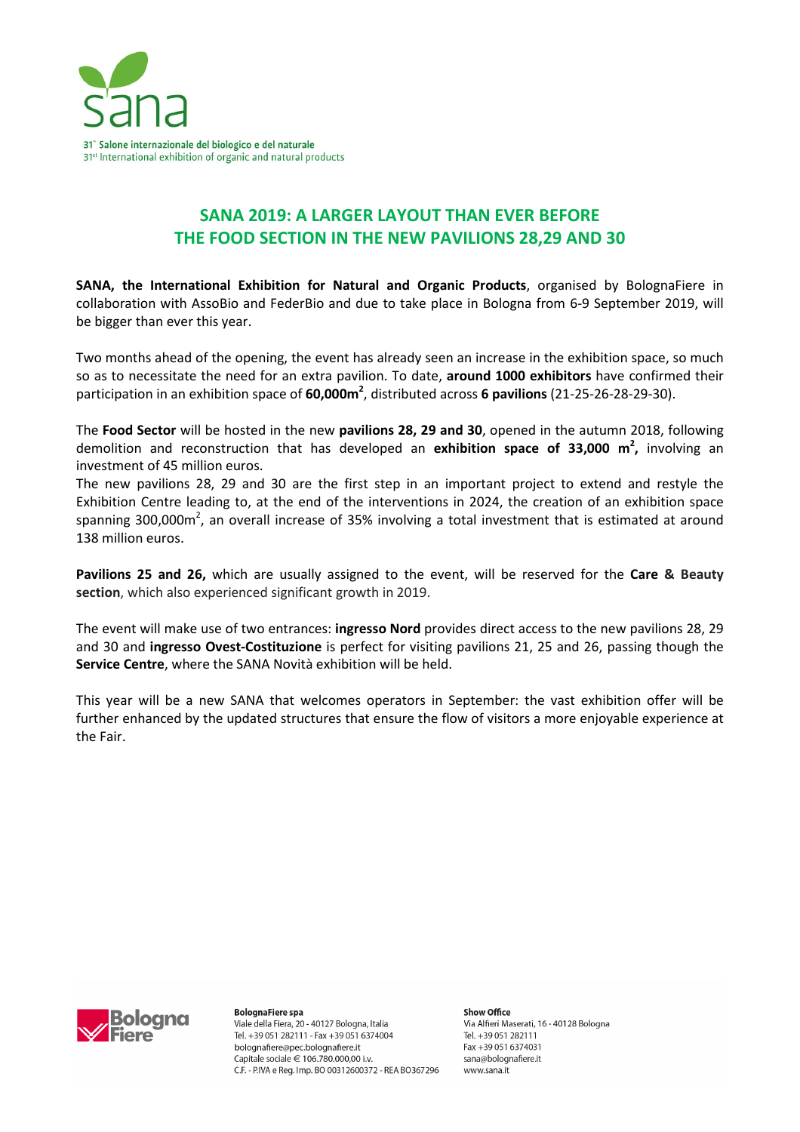

## **SANA 2019: A LARGER LAYOUT THAN EVER BEFORE THE FOOD SECTION IN THE NEW PAVILIONS 28,29 AND 30**

**SANA, the International Exhibition for Natural and Organic Products**, organised by BolognaFiere in collaboration with AssoBio and FederBio and due to take place in Bologna from 6-9 September 2019, will be bigger than ever this year.

Two months ahead of the opening, the event has already seen an increase in the exhibition space, so much so as to necessitate the need for an extra pavilion. To date, **around 1000 exhibitors** have confirmed their participation in an exhibition space of **60,000m<sup>2</sup>** , distributed across **6 pavilions** (21-25-26-28-29-30).

The **Food Sector** will be hosted in the new **pavilions 28, 29 and 30**, opened in the autumn 2018, following demolition and reconstruction that has developed an **exhibition space of 33,000 m<sup>2</sup> ,** involving an investment of 45 million euros.

The new pavilions 28, 29 and 30 are the first step in an important project to extend and restyle the Exhibition Centre leading to, at the end of the interventions in 2024, the creation of an exhibition space spanning 300,000m<sup>2</sup>, an overall increase of 35% involving a total investment that is estimated at around 138 million euros.

**Pavilions 25 and 26,** which are usually assigned to the event, will be reserved for the **Care & Beauty section**, which also experienced significant growth in 2019.

The event will make use of two entrances: **ingresso Nord** provides direct access to the new pavilions 28, 29 and 30 and **ingresso Ovest-Costituzione** is perfect for visiting pavilions 21, 25 and 26, passing though the **Service Centre**, where the SANA Novità exhibition will be held.

This year will be a new SANA that welcomes operators in September: the vast exhibition offer will be further enhanced by the updated structures that ensure the flow of visitors a more enjoyable experience at the Fair.



**BolognaFiere spa** Viale della Fiera, 20 - 40127 Bologna, Italia Tel. +39 051 282111 - Fax +39 051 6374004 bolognafiere@pec.bolognafiere.it Capitale sociale € 106.780.000.00 i.v. C.F. - P.IVA e Reg. Imp. BO 00312600372 - REA BO367296

Show Office Via Alfieri Maserati, 16 - 40128 Bologna Tel. +39 051 282111 Fax +39 051 6374031 sana@bolognafiere.it www.sana.it